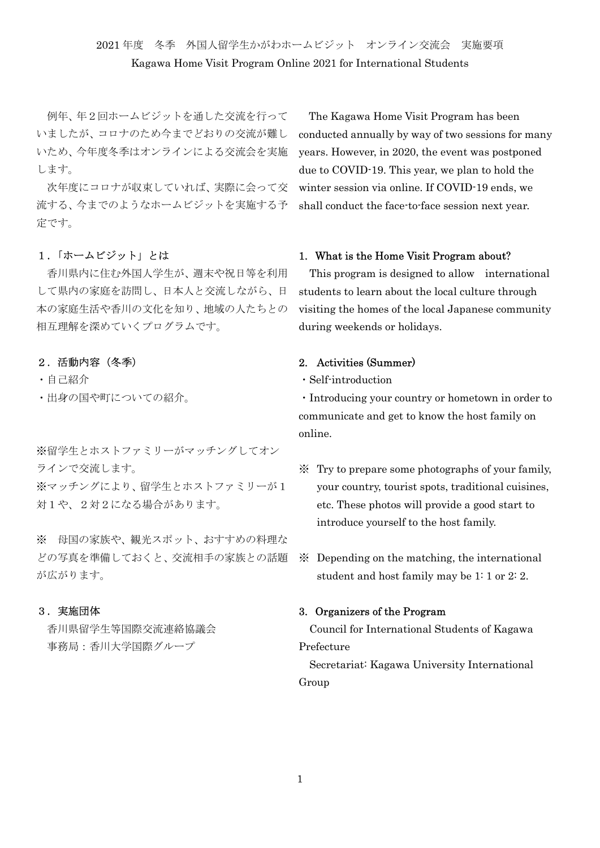# 2021 年度 冬季 外国人留学生かがわホームビジット オンライン交流会 実施要項 Kagawa Home Visit Program Online 2021 for International Students

 例年、年2回ホームビジットを通した交流を行って いましたが、コロナのため今までどおりの交流が難し いため、今年度冬季はオンラインによる交流会を実施 します。

 次年度にコロナが収束していれば、実際に会って交 流する、今までのようなホームビジットを実施する予 定です。

## 1.「ホームビジット」とは

 香川県内に住む外国人学生が、週末や祝日等を利用 して県内の家庭を訪問し、日本人と交流しながら、日 本の家庭生活や香川の文化を知り、地域の人たちとの 相互理解を深めていくプログラムです。

#### 2.活動内容(冬季)

・自己紹介

・出身の国や町についての紹介。

※留学生とホストファミリーがマッチングしてオン ラインで交流します。

※マッチングにより、留学生とホストファミリーが1 対1や、2対2になる場合があります。

※ 母国の家族や、観光スポット、おすすめの料理な どの写真を準備しておくと、交流相手の家族との話題 が広がります。

#### 3.実施団体

 香川県留学生等国際交流連絡協議会 事務局:香川大学国際グループ

The Kagawa Home Visit Program has been conducted annually by way of two sessions for many years. However, in 2020, the event was postponed due to COVID-19. This year, we plan to hold the winter session via online. If COVID-19 ends, we shall conduct the face-to-face session next year.

## 1. What is the Home Visit Program about?

This program is designed to allow international students to learn about the local culture through visiting the homes of the local Japanese community during weekends or holidays.

## 2. Activities (Summer)

・Self-introduction

・Introducing your country or hometown in order to communicate and get to know the host family on online.

- ※ Try to prepare some photographs of your family, your country, tourist spots, traditional cuisines, etc. These photos will provide a good start to introduce yourself to the host family.
- ※ Depending on the matching, the international student and host family may be 1: 1 or 2: 2.

## 3. Organizers of the Program

Council for International Students of Kagawa Prefecture

Secretariat: Kagawa University International Group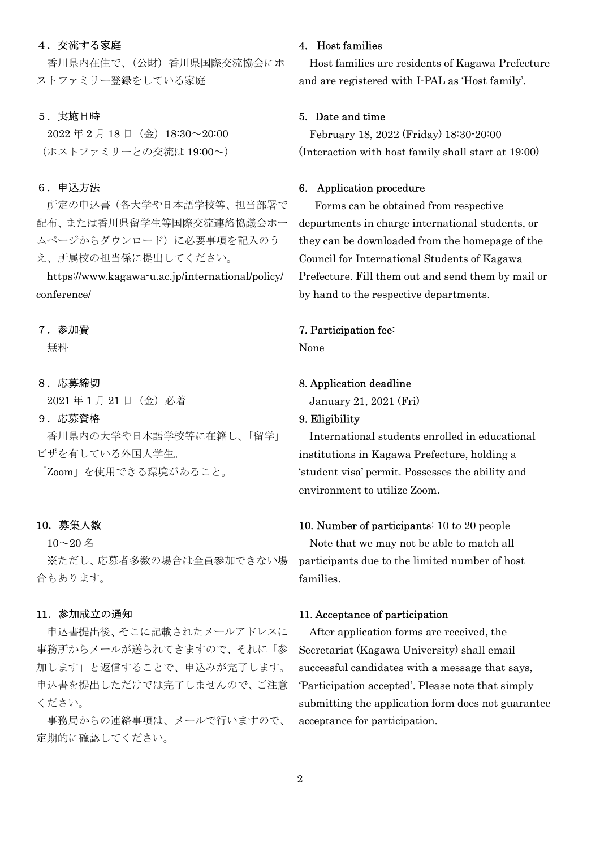## 4.交流する家庭

 香川県内在住で、(公財)香川県国際交流協会にホ ストファミリー登録をしている家庭

## 5.実施日時

 $2022 \ncong 2 \nparallel 18 \nparallel (\nleftrightarrow) 18:30 \sim 20:00$ (ホストファミリーとの交流は 19:00~)

## 6.申込方法

所定の申込書(各大学や日本語学校等、担当部署で 配布、または香川県留学生等国際交流連絡協議会ホー ムページからダウンロード)に必要事項を記入のう え、所属校の担当係に提出してください。

https://www.kagawa-u.ac.jp/international/policy/ conference/

#### 7.参加費

無料

## 8.応募締切

2021 年 1 月 21 日(金)必着

## 9.応募資格

 香川県内の大学や日本語学校等に在籍し、「留学」 ビザを有している外国人学生。

「Zoom」を使用できる環境があること。

## 10.募集人数

 $10~20$ 名 ※ただし、応募者多数の場合は全員参加できない場 合もあります。

#### 11.参加成立の通知

申込書提出後、そこに記載されたメールアドレスに 事務所からメールが送られてきますので、それに「参 加します」と返信することで、申込みが完了します。 申込書を提出しただけでは完了しませんので、ご注意 ください。

 事務局からの連絡事項は、メールで行いますので、 定期的に確認してください。

#### 4. Host families

Host families are residents of Kagawa Prefecture and are registered with I-PAL as 'Host family'.

## 5. Date and time

February 18, 2022 (Friday) 18:30-20:00 (Interaction with host family shall start at 19:00)

## 6. Application procedure

Forms can be obtained from respective departments in charge international students, or they can be downloaded from the homepage of the Council for International Students of Kagawa Prefecture. Fill them out and send them by mail or by hand to the respective departments.

#### 7. Participation fee:

None

#### 8. Application deadline

January 21, 2021 (Fri)

## 9. Eligibility

International students enrolled in educational institutions in Kagawa Prefecture, holding a 'student visa' permit. Possesses the ability and environment to utilize Zoom.

10. Number of participants: 10 to 20 people Note that we may not be able to match all participants due to the limited number of host families.

#### 11. Acceptance of participation

After application forms are received, the Secretariat (Kagawa University) shall email successful candidates with a message that says, 'Participation accepted'. Please note that simply submitting the application form does not guarantee acceptance for participation.